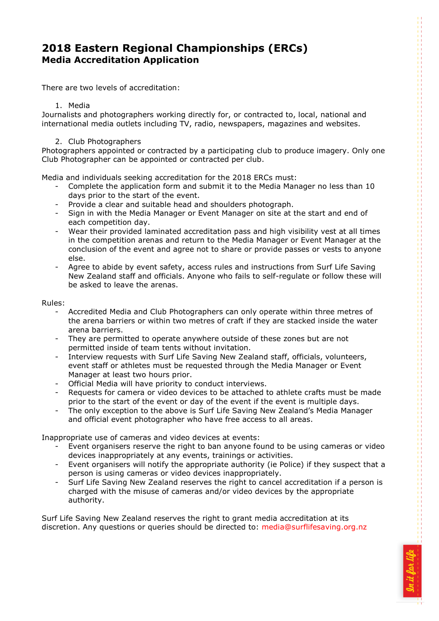# **2018 Eastern Regional Championships (ERCs) Media Accreditation Application**

There are two levels of accreditation:

### 1. Media

Journalists and photographers working directly for, or contracted to, local, national and international media outlets including TV, radio, newspapers, magazines and websites.

#### 2. Club Photographers

Photographers appointed or contracted by a participating club to produce imagery. Only one Club Photographer can be appointed or contracted per club.

Media and individuals seeking accreditation for the 2018 ERCs must:

- Complete the application form and submit it to the Media Manager no less than 10 days prior to the start of the event.
- Provide a clear and suitable head and shoulders photograph.
- Sign in with the Media Manager or Event Manager on site at the start and end of each competition day.
- Wear their provided laminated accreditation pass and high visibility vest at all times in the competition arenas and return to the Media Manager or Event Manager at the conclusion of the event and agree not to share or provide passes or vests to anyone else.
- Agree to abide by event safety, access rules and instructions from Surf Life Saving New Zealand staff and officials. Anyone who fails to self-regulate or follow these will be asked to leave the arenas.

#### Rules:

- Accredited Media and Club Photographers can only operate within three metres of the arena barriers or within two metres of craft if they are stacked inside the water arena barriers.
- They are permitted to operate anywhere outside of these zones but are not permitted inside of team tents without invitation.
- Interview requests with Surf Life Saving New Zealand staff, officials, volunteers, event staff or athletes must be requested through the Media Manager or Event Manager at least two hours prior.
- Official Media will have priority to conduct interviews.<br>- Requests for camera or video devices to be attached to
- Requests for camera or video devices to be attached to athlete crafts must be made prior to the start of the event or day of the event if the event is multiple days.
- The only exception to the above is Surf Life Saving New Zealand's Media Manager and official event photographer who have free access to all areas.

Inappropriate use of cameras and video devices at events:

- Event organisers reserve the right to ban anyone found to be using cameras or video devices inappropriately at any events, trainings or activities.
- Event organisers will notify the appropriate authority (ie Police) if they suspect that a person is using cameras or video devices inappropriately.
- Surf Life Saving New Zealand reserves the right to cancel accreditation if a person is charged with the misuse of cameras and/or video devices by the appropriate authority.

Surf Life Saving New Zealand reserves the right to grant media accreditation at its discretion. Any questions or queries should be directed to: [media@surflifesaving.org.nz](mailto:media@surflifesaving.org.nz?subject=ERCs%20media%20accreditation%20enquiry)